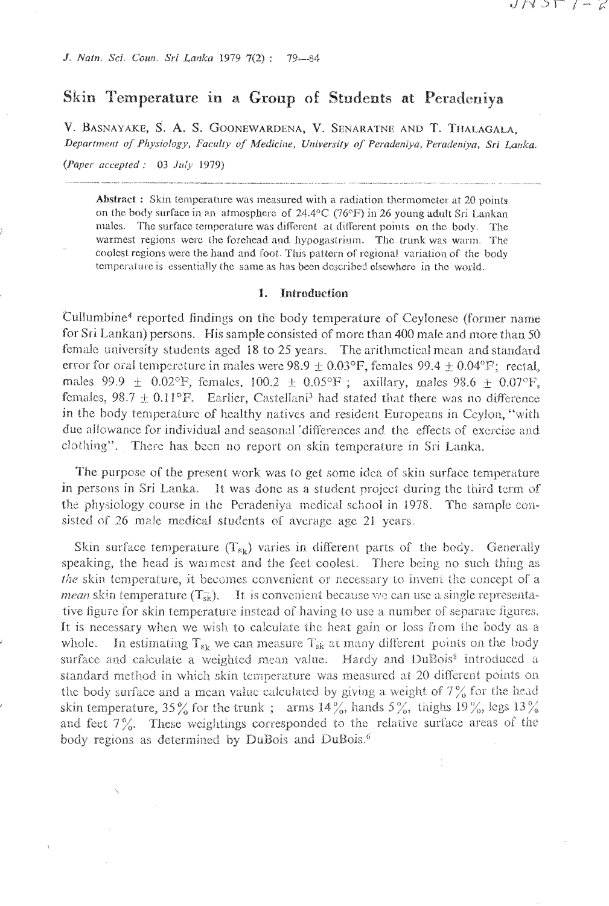# Skin Temperature in a Group of Students at Peradeniya

V. BASNAYAKE, S. A. S. GOONEWARDENA, V. SENARATNE AND T. THALAGALA, Department of Physiology, Faculty of Medicine, University of Peradeniya, Peradeniya, Sri Lanka.

(Paper accepted :  $03$  July 1979)

**Abstract:** Skin temperature was measured with a radiation thermometer at 20 points on the body surface in an atmosphere of 24.4°C (76°F) in 26 young adult Sri Lankan males. The surface temperature was different at different points on the body. The warmest regions were the forehead and hypogastrium. The trunk was warm. The coolest regions were the hand and foot. This pattern of regional variation of the body temperature is essentially the same as has been described elsewhere in the world.

#### 1. Introduction

Cullumbine<sup>4</sup> reported findings on the body temperature of Ceylonese (former name for Sri Lankan) persons. His sample consisted of more than 400 male and more than 50 female university students aged 18 to 25 years. The arithmetical mean and standard error for oral tempereture in males were 98.9  $\pm$  0.03°F, females 99.4  $\pm$  0.04°F; rectal, males 99.9  $\pm$  0.02°F, females, 100.2  $\pm$  0.05°F; axillary, males 98.6  $\pm$  0.07°F, females, 98.7  $\pm$  0.11°F. Earlier, Castellani<sup>3</sup> had stated that there was no difference in the body temperature of healthy natives and resident Europeans in Ceylon, "with due allowance for individual and seasonal "differences and the effects of exercise and clothing". There has been no report on skin temperature in Sri Lanka.

The purpose of the present work was to get some idea of skin surface temperature in persons in Sri Lanka. It was done as a student project during the third term of the physiology course in the Peradeniya medical school in 1978. The sample consisted of 26 male medical students of average age 21 years.

Skin surface temperature  $(T_{sk})$  varies in different parts of the body. Generally speaking, the head is warmest and the feet coolest. There being no such thing as the skin temperature, it becomes convenient or necessary to invent the concept of a *mean* skin temperature  $(T_{sk})$ . It is convenient because we can use a single representative figure for skin temperature instead of having to use a number of separate figures. It is necessary when we wish to calculate the heat gain or loss from the body as a whole. In estimating  $T_{s_k}$  we can measure  $T_{s_k}$  at many different points on the body surface and calculate a weighted mean value. Hardy and DuBois<sup>8</sup> introduced a standard method in which skin temperature was measured at 20 different points on the body surface and a mean value calculated by giving a weight of  $7\%$  for the head skin temperature, 35% for the trunk; arms 14%, hands 5%, thighs 19%, legs 13% and feet  $7\%$ . These weightings corresponded to the relative surface areas of the body regions as determined by DuBois and DuBois.<sup>6</sup>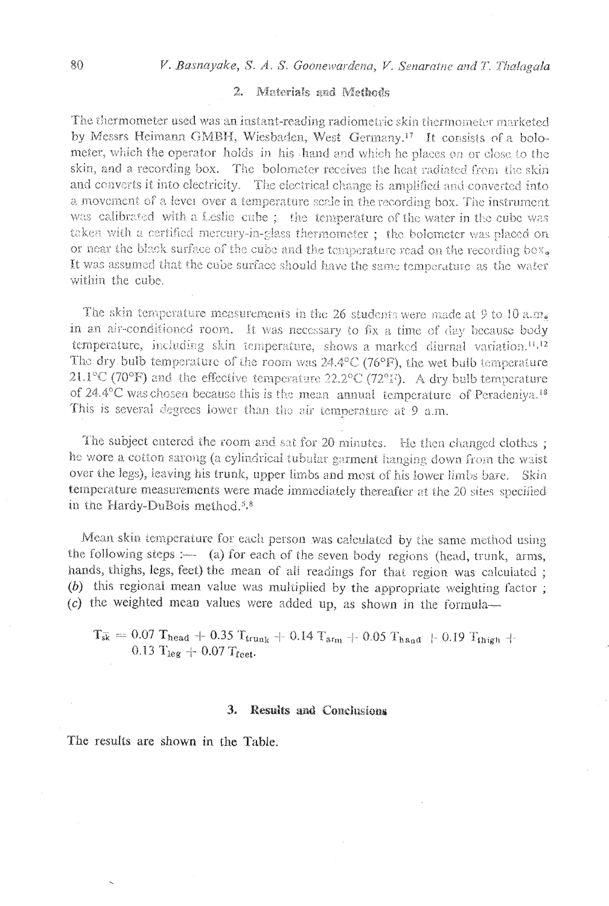# 2. Materials and Methods

The thermometer used was an instant-reading radiometric skin thermometer marketed by Messrs Heimann GMBH, Wiesbaden, West Germany.<sup>17</sup> It consists of a bolometer, which the operator holds in his hand and which he places on or close to the skin, and a recording box. The bolometer receives the heat radiated from the skin and converts it into electricity. The electrical change is amplified and converted into a movement of a lever over a temperature scale in the recording box. The instrument was calibrated with a Leslie cube; the temperature of the water in the cube was taken with a certified mercury-in-glass thermometer; the bolometer was placed on or near the black surface of the cube and the temperature read on the recording box. It was assumed that the cube surface should have the same temperature as the water within the cube.

The skin temperature measurements in the 26 students were made at 9 to 10 a.m. in an air-conditioned room. It was necessary to fix a time of day because body temperature, including skin temperature, shows a marked diurnal variation.<sup>11,12</sup> The dry bulb temperature of the room was  $24.4^{\circ}$ C (76°F), the wet bulb temperature 21.1°C (70°F) and the effective temperature 22.2°C (72°F). A dry bulb temperature of 24.4 $\degree$ C was chosen because this is the mean annual temperature of Peradeniya.<sup>18</sup> This is several degrees lower than the air temperature at 9 a.m.

The subject entered the room and sat for 20 minutes. He then changed clothes: he wore a cotton sarong (a cylindrical tubular garment hanging down from the waist over the legs), leaving his trunk, upper limbs and most of his lower limbs bare. Skin temperature measurements were made immediately thereafter at the 20 sites specified in the Hardy-DuBois method.<sup>5,8</sup>

Mean skin temperature for each person was calculated by the same method using the following steps :- (a) for each of the seven body regions (head, trunk, arms, hands, thighs, legs, feet) the mean of all readings for that region was calculated;  $(b)$  this regional mean value was multiplied by the appropriate weighting factor;  $(c)$  the weighted mean values were added up, as shown in the formula-

 $T_{s\bar{k}} = 0.07$  Thead + 0.35 Ttrunk + 0.14 Tarm + 0.05 Thand + 0.19 Tthigh + 0.13  $T_{leg} + 0.07 T_{feet}$ .

#### 3. Results and Conclusions

The results are shown in the Table.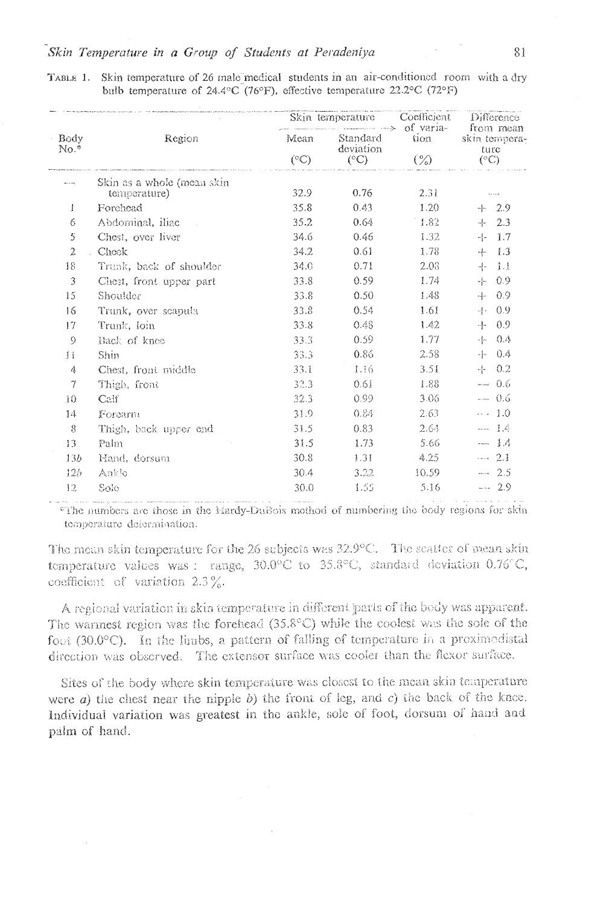| Body<br>$No.*$  | Region                  | Skin temperature<br>$\longrightarrow$ of varia-<br>Mean<br>Standard<br>deviation<br>$(^{\circ}C)$<br>$(^{\circ}C)$ | Coefficient | Difference<br>from mean |                                        |
|-----------------|-------------------------|--------------------------------------------------------------------------------------------------------------------|-------------|-------------------------|----------------------------------------|
|                 |                         |                                                                                                                    |             | tion<br>$(\%)$          | skin tempera-<br>ture<br>$(^{\circ}C)$ |
|                 |                         |                                                                                                                    |             |                         |                                        |
| 1               | Forchead                | 35.8                                                                                                               | 0.43        | 1.20                    | $+ 2.9$                                |
| 6               | Abdominal, iliac        | 35.2                                                                                                               | 0.64        | $-1.82$                 | 2.3<br>$-1$                            |
| 5               | Chest, over liver       | 34.6                                                                                                               | 0.46        | 1.32                    | $-1.7$<br>하다                           |
| $\overline{2}$  | Check                   | 34.2                                                                                                               | 0.61        | 1.78                    | $-1.3$<br>-4-                          |
| 18              | Trunk, back of shoulder | 34.0                                                                                                               | 0.71        | 2.03                    | $-1.1$<br>-1-                          |
| 3               | Chest, front upper part | 33.8                                                                                                               | 0.59        | 1.74                    | $-0.9$<br>~[⊷                          |
| 15              | Shoulder                | 33.8                                                                                                               | 0.50        | 1.48                    | - 0.9<br>4.                            |
| 16              | Trunk, over scapula     | 33.8                                                                                                               | 0.54        | 1.61                    | - 0.9<br>-4                            |
| 17              | Trunk, loin             | 33.8                                                                                                               | 0.48        | 1.42                    | $-1 - 0.9$                             |
| $\circ$         | Back of knee            | 33.3                                                                                                               | 0.59        | 1.77                    | $+ 0.4$                                |
| Ħ               | Shin                    | 33.3                                                                                                               | 0.86        | 2.58                    | ÷F.<br>- 0.4                           |
| 4               | Chest, front middle     | 33.1                                                                                                               | 1.16        | 3.51                    | $+ 0.2$                                |
| $\gamma$        | Thigh, front            | 32.3                                                                                                               | 0.61        | 1.88.                   | $- 0.6$                                |
| $\overline{10}$ | Calf                    | 32.3                                                                                                               | 0.99        | 3.06                    | $- 0.6$                                |
| 14              | Forearm                 | 31.9                                                                                                               | 0.84        | $2.63 -$                | $\cdots$ 1.0                           |
| $\mathbf{8}$    | Thigh, back upper end   | 31.5                                                                                                               | 0.83        | 2.64.                   | $--- 1.4$                              |
| 13              | Palm                    | 31.5                                                                                                               | 1.73        | 5.66                    | $- 1.4$                                |
| 13b             | Hand, dorsum            | 30.8                                                                                                               | 1.31        | 4.25                    | $- 2.1$                                |
| 125             | Ankle                   | 30.4                                                                                                               | 3.22.       | 10.59                   | $-2.5$                                 |
| 12              | Solo                    | 30.0                                                                                                               | 1.55        | 5.16                    | $-2.9$                                 |

TABLE 1. Skin temperature of 26 male medical students in an air-conditioned room with a dry bulb temperature of 24.4°C (76°F), effective temperature 22.2°C (72°F)

\*The numbers are those in the Hardy-Dussois method of numbering the body regions for skin temperature determination.

The mean skin temperature for the 26 subjects was 32.9°C. The scatter of mean skin temperature values was: range, 30.0°C to 35.8°C, standard deviation 0.76°C, coefficient of variation  $2.3\%$ .

A regional variation in skin temperature in different parts of the body was apparent. The warmest region was the forehead  $(35.8^{\circ}C)$  while the coolest was the sole of the foot  $(30.0^{\circ}C)$ . In the limbs, a pattern of falling of temperature in a proximodistal direction was observed. The extensor surface was cooler than the flexor surface.

Sites of the body where skin temperature was closest to the mean skin temperature were  $a$ ) the chest near the nipple  $b$ ) the front of leg, and  $c$ ) the back of the knee. Individual variation was greatest in the ankle, sole of foot, dorsum of hand and palm of hand.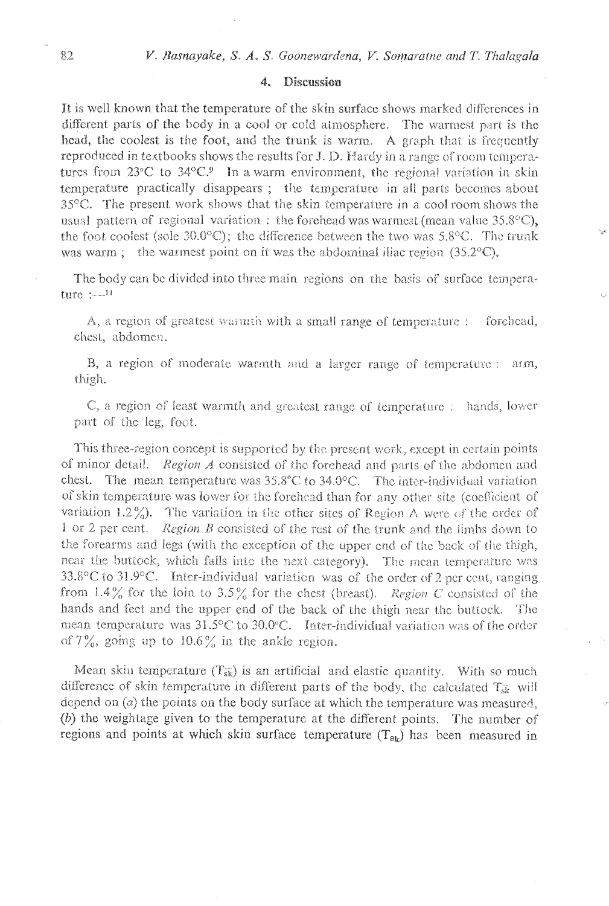#### 4. Discussion

It is well known that the temperature of the skin surface shows marked differences in different parts of the body in a cool or cold atmosphere. The warmest part is the head, the coolest is the foot, and the trunk is warm. A graph that is frequently reproduced in textbooks shows the results for J. D. Hardy in a range of room temperatures from  $23^{\circ}$ C to  $34^{\circ}$ C.<sup>9</sup> In a warm environment, the regional variation in skin temperature practically disappears; the temperature in all parts becomes about 35 °C. The present work shows that the skin temperature in a cool room shows the usual pattern of regional variation: the forehead was warmest (mean value  $35.8^{\circ}$ C), the foot coolest (sole 30.0°C); the difference between the two was 5.8°C. The trunk was warm; the warmest point on it was the abdominal illiac region  $(35.2^{\circ}C)$ .

The body can be divided into three main regions on the basis of surface tempera $ture :=<sup>11</sup>$ 

A, a region of greatest warmth with a small range of temperature : forehead. chest, abdomen.

B, a region of moderate warmth and a larger range of temperature : arm, thigh.

C, a region of least warmth and greatest range of temperature : hands, lower part of the leg, foot.

This three-region concept is supported by the present work, except in certain points of minor detail. Region A consisted of the forehead and parts of the abdomen and chest. The mean temperature was  $35.8^{\circ}\text{C}$  to  $34.0^{\circ}\text{C}$ . The inter-individual variation of skin temperature was lower for the forehead than for any other site (coefficient of variation  $1.2\%$ ). The variation in the other sites of Region A were of the order of 1 or 2 per cent. Region B consisted of the rest of the trunk and the limbs down to the forearms and legs (with the exception of the upper end of the back of the thigh, near the buttock, which falls into the next category). The mean temperature was 33.8°C to 31.9°C. Inter-individual variation was of the order of 2 per cent, ranging from 1.4% for the loin to 3.5% for the chest (breast). Region C consisted of the hands and feet and the upper end of the back of the thigh near the buttock. The mean temperature was 31.5°C to 30.0°C. Inter-individual variation was of the order of  $7\%$ , going up to  $10.6\%$  in the ankle region.

Mean skin temperature  $(T_{\overline{sk}})$  is an artificial and elastic quantity. With so much difference of skin temperature in different parts of the body, the calculated T<sub>3</sub> will depend on  $(a)$  the points on the body surface at which the temperature was measured. (b) the weightage given to the temperature at the different points. The number of regions and points at which skin surface temperature  $(T_{\rm sb})$  has been measured in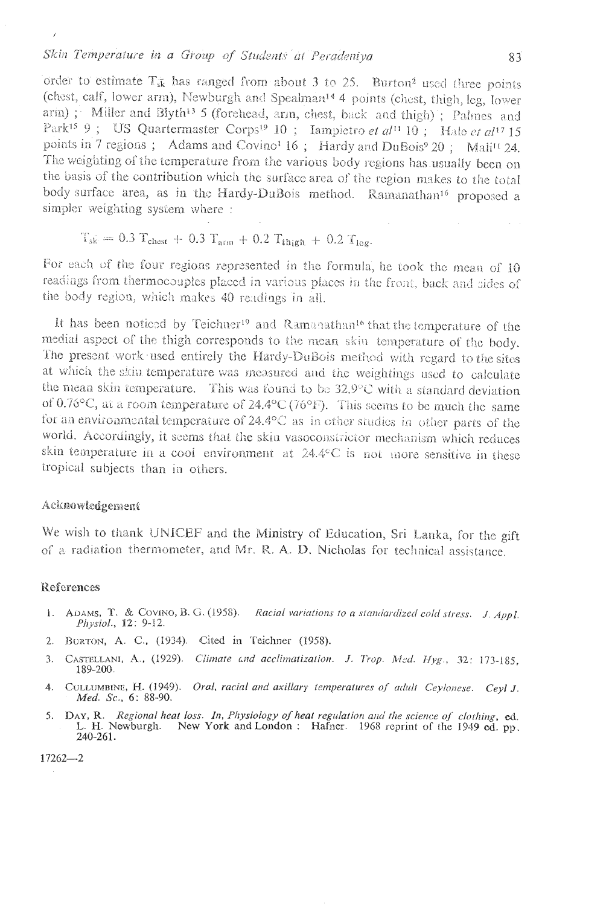## Skin Temperature in a Group of Students at Peradeniya

order to estimate  $T_{sk}$  has ranged from about 3 to 25. Burton<sup>2</sup> used three points (chest, calf, lower arm), Newburgh and Spealman<sup>14</sup> 4 points (chest, thigh, leg, lower arm); Miller and Blyth<sup>13</sup> 5 (forehead, arm, chest, back and thigh); Palmes and Park<sup>15</sup> 9; US Quartermaster Corps<sup>19</sup> 10; Iampietro et al<sup>11</sup> 10; Halo et al<sup>17</sup> 15 points in 7 regions; Adams and Covino<sup>1</sup> 16; Hardy and DuBois<sup>9</sup> 20; Mali<sup>11</sup> 24. The weighting of the temperature from the various body regions has usually been on the basis of the contribution which the surface area of the region makes to the total body surface area, as in the Hardy-DuBois method. Ramanathan<sup>16</sup> proposed a simpler weighting system where:

$$
T_{sk} = 0.3 T_{\text{chest}} + 0.3 T_{\text{arm}} + 0.2 T_{\text{thigh}} + 0.2 T_{\text{lag}}
$$

For each of the four regions represented in the formula, he took the mean of 10 readings from thermocouples placed in various places in the front, back and sides of the body region, which makes 40 readings in all.

It has been noticed by Teichner<sup>19</sup> and Ramanathan<sup>16</sup> that the temperature of the medial aspect of the thigh corresponds to the mean skin temperature of the body. The present work used entirely the Hardy-DuBois method with regard to the sites at which the skin temperature was measured and the weightings used to calculate the mean skin temperature. This was found to be  $32.9^{\circ}$ C with a standard deviation of 0.76°C, at a room temperature of 24.4°C (76°F). This seems to be much the same for an environmental temperature of  $24.4$  °C as in other studies in other parts of the world. Accordingly, it seems that the skin vasoconstrictor mechanism which reduces skin temperature in a cool environment at 24.4°C is not more sensitive in these tropical subjects than in others.

## Acknowledgement

We wish to thank UNICEF and the Ministry of Education, Sri Lanka, for the gift of a radiation thermometer, and Mr. R. A. D. Nicholas for technical assistance.

# References

 $\overline{1}$ 

- 1. ADAMS, T. & COVINO, B. G. (1958). Racial variations to a standardized cold stress. J. Appl. Physiol., 12: 9-12.
- 2. BORTON, A. C., (1934). Cited in Teichner (1958).
- 3. CASTELLANI, A., (1929). Climate and acclimatization. J. Trop. Med. Hyg., 32: 173-185, 189-200.
- 4. CULLUMBINE, H. (1949). Oral, racial and axillary temperatures of adult Ceylonese. Ceyl J. Med. Sc., 6: 88-90.
- 5. DAY, R. Regional heat loss. In, Physiology of heat regulation and the science of clothing, ed. L. H. Newburgh. New York and London : Hafner. 1968 reprint of the 1949 ed. pp. 240-261.

 $17262 - 2$